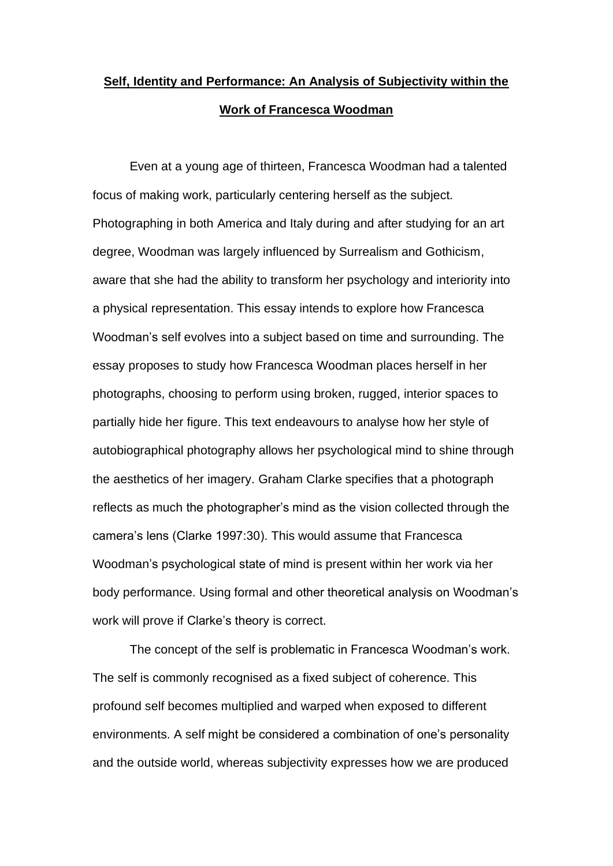# **Self, Identity and Performance: An Analysis of Subjectivity within the Work of Francesca Woodman**

Even at a young age of thirteen, Francesca Woodman had a talented focus of making work, particularly centering herself as the subject. Photographing in both America and Italy during and after studying for an art degree, Woodman was largely influenced by Surrealism and Gothicism, aware that she had the ability to transform her psychology and interiority into a physical representation. This essay intends to explore how Francesca Woodman's self evolves into a subject based on time and surrounding. The essay proposes to study how Francesca Woodman places herself in her photographs, choosing to perform using broken, rugged, interior spaces to partially hide her figure. This text endeavours to analyse how her style of autobiographical photography allows her psychological mind to shine through the aesthetics of her imagery. Graham Clarke specifies that a photograph reflects as much the photographer's mind as the vision collected through the camera's lens (Clarke 1997:30). This would assume that Francesca Woodman's psychological state of mind is present within her work via her body performance. Using formal and other theoretical analysis on Woodman's work will prove if Clarke's theory is correct.

The concept of the self is problematic in Francesca Woodman's work. The self is commonly recognised as a fixed subject of coherence. This profound self becomes multiplied and warped when exposed to different environments. A self might be considered a combination of one's personality and the outside world, whereas subjectivity expresses how we are produced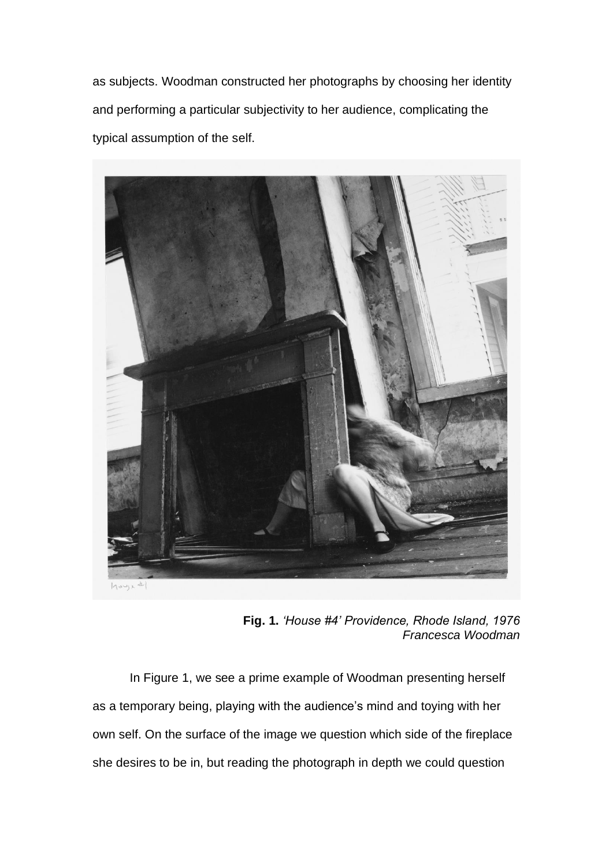as subjects. Woodman constructed her photographs by choosing her identity and performing a particular subjectivity to her audience, complicating the typical assumption of the self.



**Fig. 1.** *'House #4' Providence, Rhode Island, 1976 Francesca Woodman*

In Figure 1, we see a prime example of Woodman presenting herself as a temporary being, playing with the audience's mind and toying with her own self. On the surface of the image we question which side of the fireplace she desires to be in, but reading the photograph in depth we could question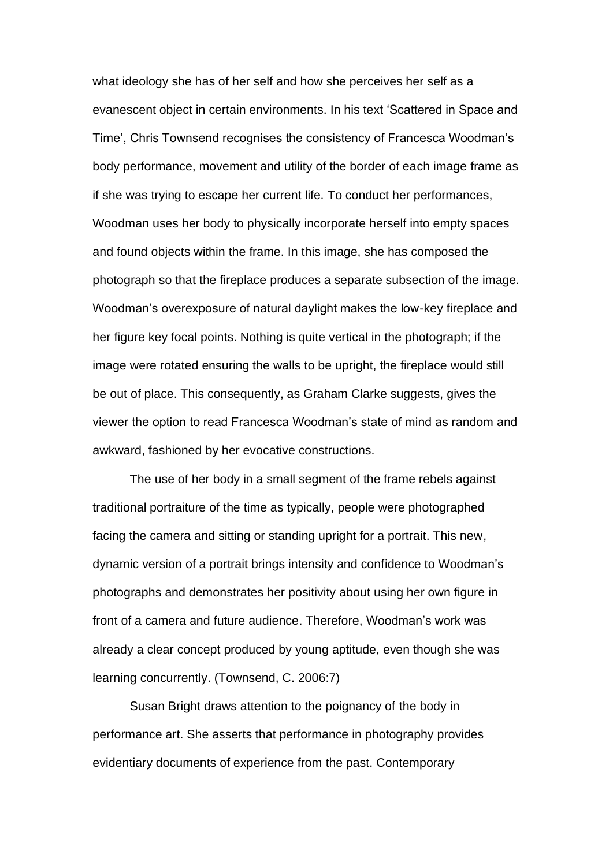what ideology she has of her self and how she perceives her self as a evanescent object in certain environments. In his text 'Scattered in Space and Time', Chris Townsend recognises the consistency of Francesca Woodman's body performance, movement and utility of the border of each image frame as if she was trying to escape her current life. To conduct her performances, Woodman uses her body to physically incorporate herself into empty spaces and found objects within the frame. In this image, she has composed the photograph so that the fireplace produces a separate subsection of the image. Woodman's overexposure of natural daylight makes the low-key fireplace and her figure key focal points. Nothing is quite vertical in the photograph; if the image were rotated ensuring the walls to be upright, the fireplace would still be out of place. This consequently, as Graham Clarke suggests, gives the viewer the option to read Francesca Woodman's state of mind as random and awkward, fashioned by her evocative constructions.

The use of her body in a small segment of the frame rebels against traditional portraiture of the time as typically, people were photographed facing the camera and sitting or standing upright for a portrait. This new, dynamic version of a portrait brings intensity and confidence to Woodman's photographs and demonstrates her positivity about using her own figure in front of a camera and future audience. Therefore, Woodman's work was already a clear concept produced by young aptitude, even though she was learning concurrently. (Townsend, C. 2006:7)

Susan Bright draws attention to the poignancy of the body in performance art. She asserts that performance in photography provides evidentiary documents of experience from the past. Contemporary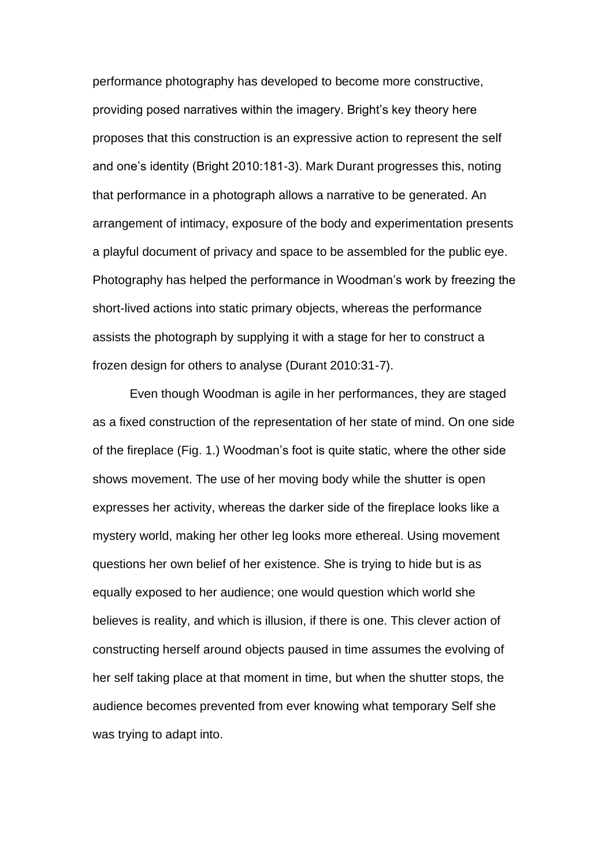performance photography has developed to become more constructive, providing posed narratives within the imagery. Bright's key theory here proposes that this construction is an expressive action to represent the self and one's identity (Bright 2010:181-3). Mark Durant progresses this, noting that performance in a photograph allows a narrative to be generated. An arrangement of intimacy, exposure of the body and experimentation presents a playful document of privacy and space to be assembled for the public eye. Photography has helped the performance in Woodman's work by freezing the short-lived actions into static primary objects, whereas the performance assists the photograph by supplying it with a stage for her to construct a frozen design for others to analyse (Durant 2010:31-7).

Even though Woodman is agile in her performances, they are staged as a fixed construction of the representation of her state of mind. On one side of the fireplace (Fig. 1.) Woodman's foot is quite static, where the other side shows movement. The use of her moving body while the shutter is open expresses her activity, whereas the darker side of the fireplace looks like a mystery world, making her other leg looks more ethereal. Using movement questions her own belief of her existence. She is trying to hide but is as equally exposed to her audience; one would question which world she believes is reality, and which is illusion, if there is one. This clever action of constructing herself around objects paused in time assumes the evolving of her self taking place at that moment in time, but when the shutter stops, the audience becomes prevented from ever knowing what temporary Self she was trying to adapt into.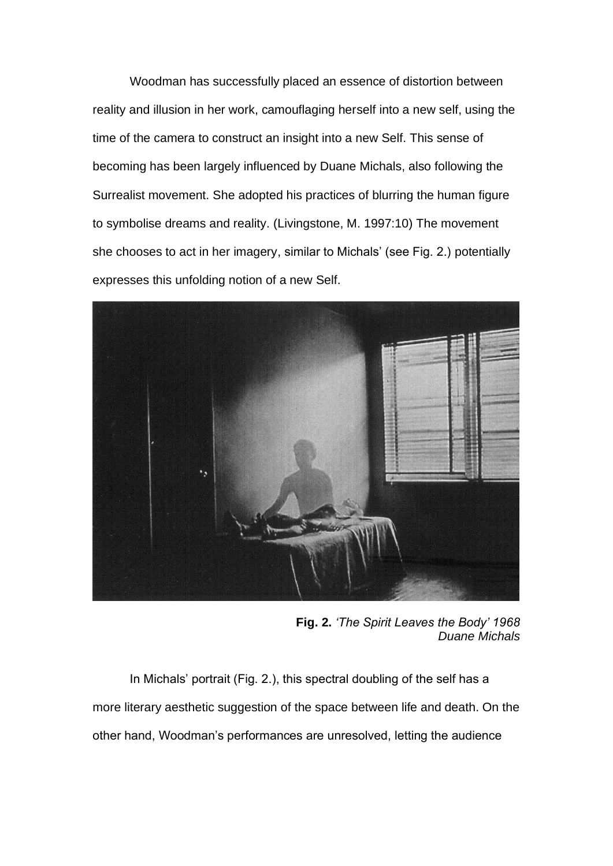Woodman has successfully placed an essence of distortion between reality and illusion in her work, camouflaging herself into a new self, using the time of the camera to construct an insight into a new Self. This sense of becoming has been largely influenced by Duane Michals, also following the Surrealist movement. She adopted his practices of blurring the human figure to symbolise dreams and reality. (Livingstone, M. 1997:10) The movement she chooses to act in her imagery, similar to Michals' (see Fig. 2.) potentially expresses this unfolding notion of a new Self.



**Fig. 2.** *'The Spirit Leaves the Body' 1968 Duane Michals*

In Michals' portrait (Fig. 2.), this spectral doubling of the self has a more literary aesthetic suggestion of the space between life and death. On the other hand, Woodman's performances are unresolved, letting the audience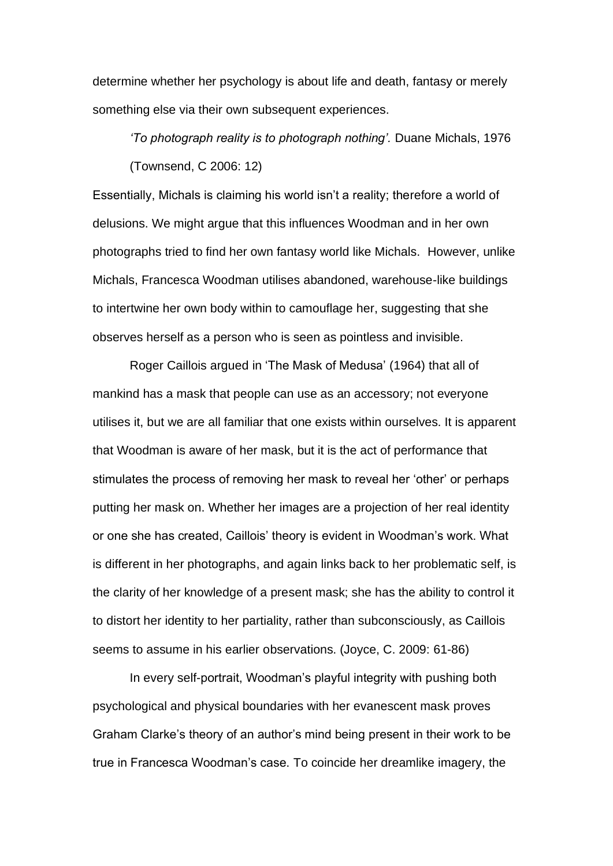determine whether her psychology is about life and death, fantasy or merely something else via their own subsequent experiences.

*'To photograph reality is to photograph nothing'.* Duane Michals, 1976 (Townsend, C 2006: 12)

Essentially, Michals is claiming his world isn't a reality; therefore a world of delusions. We might argue that this influences Woodman and in her own photographs tried to find her own fantasy world like Michals. However, unlike Michals, Francesca Woodman utilises abandoned, warehouse-like buildings to intertwine her own body within to camouflage her, suggesting that she observes herself as a person who is seen as pointless and invisible.

Roger Caillois argued in 'The Mask of Medusa' (1964) that all of mankind has a mask that people can use as an accessory; not everyone utilises it, but we are all familiar that one exists within ourselves. It is apparent that Woodman is aware of her mask, but it is the act of performance that stimulates the process of removing her mask to reveal her 'other' or perhaps putting her mask on. Whether her images are a projection of her real identity or one she has created, Caillois' theory is evident in Woodman's work. What is different in her photographs, and again links back to her problematic self, is the clarity of her knowledge of a present mask; she has the ability to control it to distort her identity to her partiality, rather than subconsciously, as Caillois seems to assume in his earlier observations. (Joyce, C. 2009: 61-86)

In every self-portrait, Woodman's playful integrity with pushing both psychological and physical boundaries with her evanescent mask proves Graham Clarke's theory of an author's mind being present in their work to be true in Francesca Woodman's case. To coincide her dreamlike imagery, the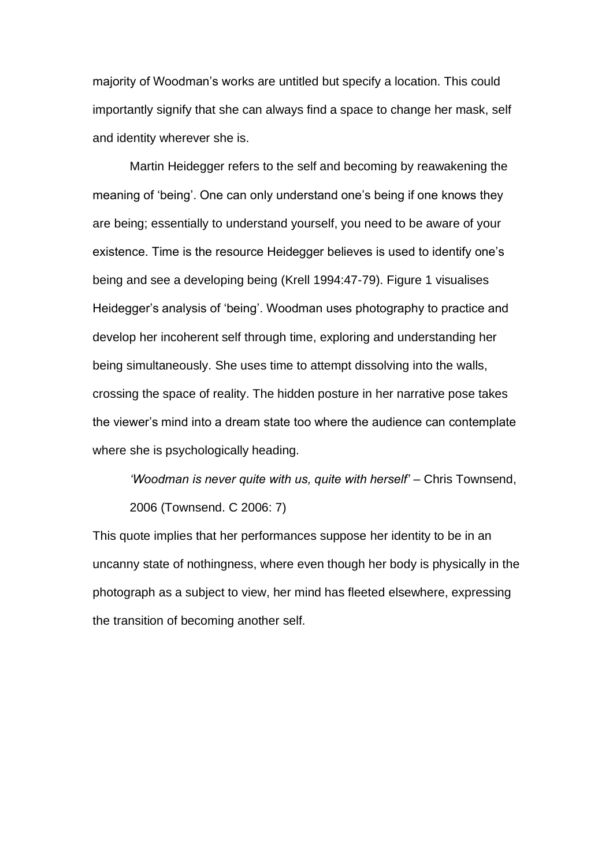majority of Woodman's works are untitled but specify a location. This could importantly signify that she can always find a space to change her mask, self and identity wherever she is.

Martin Heidegger refers to the self and becoming by reawakening the meaning of 'being'. One can only understand one's being if one knows they are being; essentially to understand yourself, you need to be aware of your existence. Time is the resource Heidegger believes is used to identify one's being and see a developing being (Krell 1994:47-79). Figure 1 visualises Heidegger's analysis of 'being'. Woodman uses photography to practice and develop her incoherent self through time, exploring and understanding her being simultaneously. She uses time to attempt dissolving into the walls, crossing the space of reality. The hidden posture in her narrative pose takes the viewer's mind into a dream state too where the audience can contemplate where she is psychologically heading.

*'Woodman is never quite with us, quite with herself'* – Chris Townsend, 2006 (Townsend. C 2006: 7)

This quote implies that her performances suppose her identity to be in an uncanny state of nothingness, where even though her body is physically in the photograph as a subject to view, her mind has fleeted elsewhere, expressing the transition of becoming another self.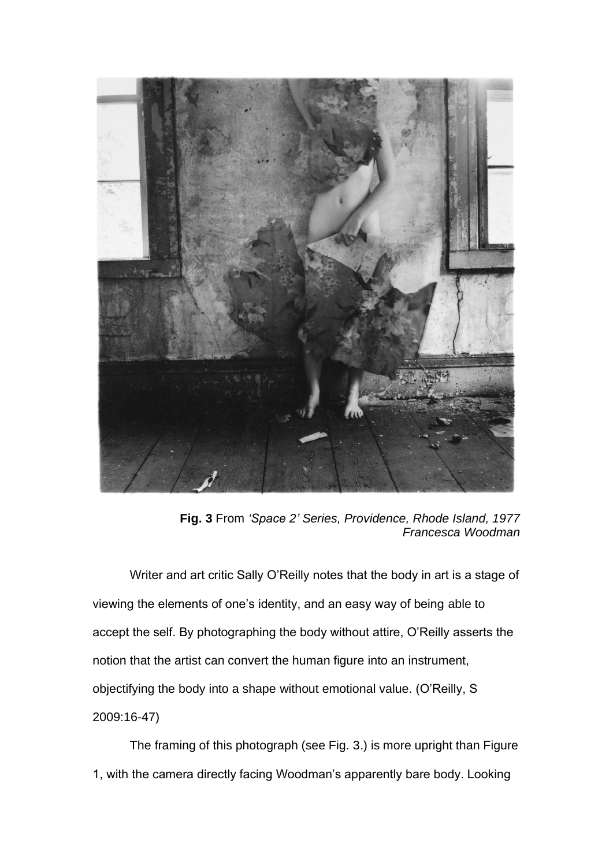

**Fig. 3** From *'Space 2' Series, Providence, Rhode Island, 1977 Francesca Woodman*

Writer and art critic Sally O'Reilly notes that the body in art is a stage of viewing the elements of one's identity, and an easy way of being able to accept the self. By photographing the body without attire, O'Reilly asserts the notion that the artist can convert the human figure into an instrument, objectifying the body into a shape without emotional value. (O'Reilly, S 2009:16-47)

The framing of this photograph (see Fig. 3.) is more upright than Figure 1, with the camera directly facing Woodman's apparently bare body. Looking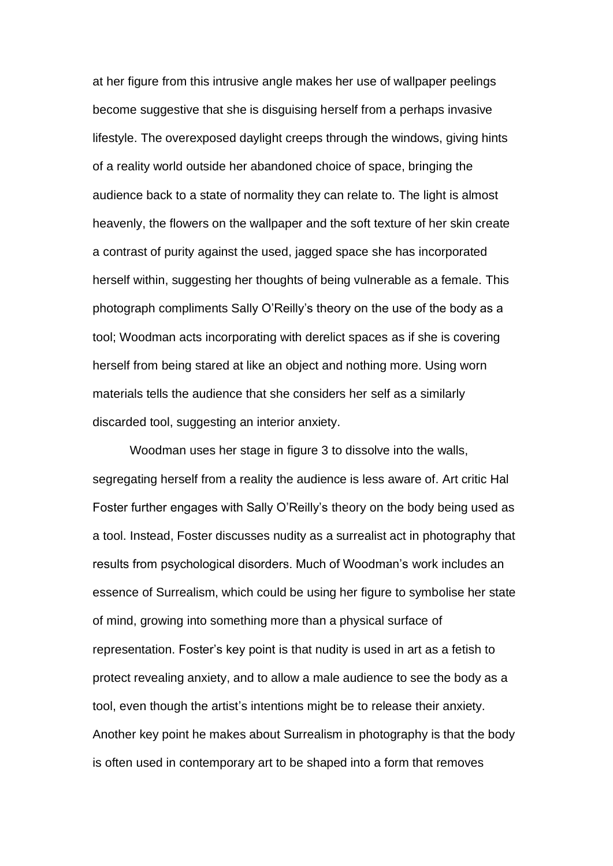at her figure from this intrusive angle makes her use of wallpaper peelings become suggestive that she is disguising herself from a perhaps invasive lifestyle. The overexposed daylight creeps through the windows, giving hints of a reality world outside her abandoned choice of space, bringing the audience back to a state of normality they can relate to. The light is almost heavenly, the flowers on the wallpaper and the soft texture of her skin create a contrast of purity against the used, jagged space she has incorporated herself within, suggesting her thoughts of being vulnerable as a female. This photograph compliments Sally O'Reilly's theory on the use of the body as a tool; Woodman acts incorporating with derelict spaces as if she is covering herself from being stared at like an object and nothing more. Using worn materials tells the audience that she considers her self as a similarly discarded tool, suggesting an interior anxiety.

Woodman uses her stage in figure 3 to dissolve into the walls, segregating herself from a reality the audience is less aware of. Art critic Hal Foster further engages with Sally O'Reilly's theory on the body being used as a tool. Instead, Foster discusses nudity as a surrealist act in photography that results from psychological disorders. Much of Woodman's work includes an essence of Surrealism, which could be using her figure to symbolise her state of mind, growing into something more than a physical surface of representation. Foster's key point is that nudity is used in art as a fetish to protect revealing anxiety, and to allow a male audience to see the body as a tool, even though the artist's intentions might be to release their anxiety. Another key point he makes about Surrealism in photography is that the body is often used in contemporary art to be shaped into a form that removes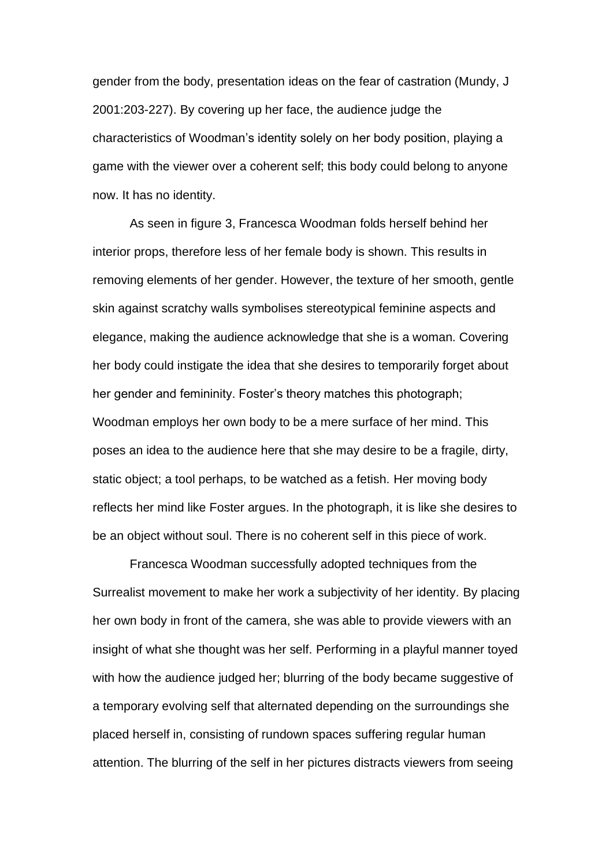gender from the body, presentation ideas on the fear of castration (Mundy, J 2001:203-227). By covering up her face, the audience judge the characteristics of Woodman's identity solely on her body position, playing a game with the viewer over a coherent self; this body could belong to anyone now. It has no identity.

As seen in figure 3, Francesca Woodman folds herself behind her interior props, therefore less of her female body is shown. This results in removing elements of her gender. However, the texture of her smooth, gentle skin against scratchy walls symbolises stereotypical feminine aspects and elegance, making the audience acknowledge that she is a woman. Covering her body could instigate the idea that she desires to temporarily forget about her gender and femininity. Foster's theory matches this photograph; Woodman employs her own body to be a mere surface of her mind. This poses an idea to the audience here that she may desire to be a fragile, dirty, static object; a tool perhaps, to be watched as a fetish. Her moving body reflects her mind like Foster argues. In the photograph, it is like she desires to be an object without soul. There is no coherent self in this piece of work.

Francesca Woodman successfully adopted techniques from the Surrealist movement to make her work a subjectivity of her identity. By placing her own body in front of the camera, she was able to provide viewers with an insight of what she thought was her self. Performing in a playful manner toyed with how the audience judged her; blurring of the body became suggestive of a temporary evolving self that alternated depending on the surroundings she placed herself in, consisting of rundown spaces suffering regular human attention. The blurring of the self in her pictures distracts viewers from seeing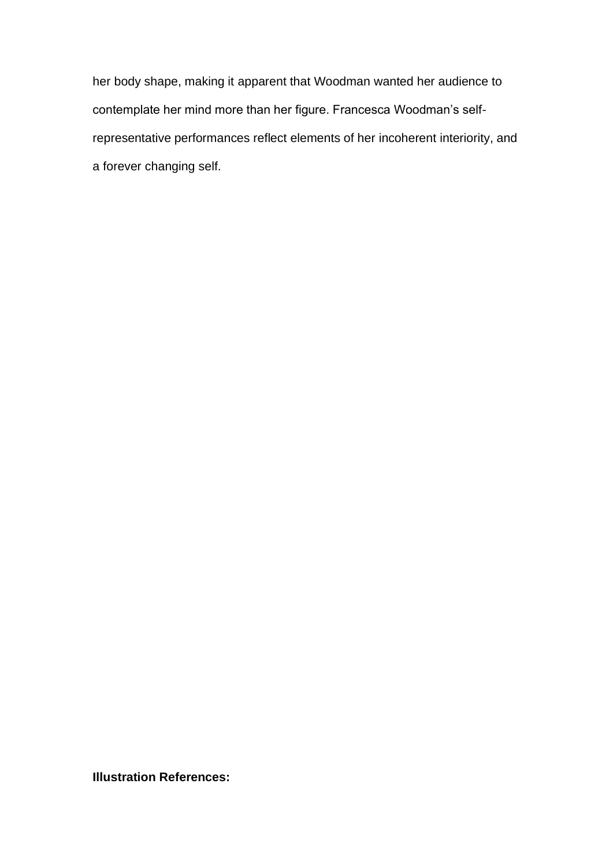her body shape, making it apparent that Woodman wanted her audience to contemplate her mind more than her figure. Francesca Woodman's selfrepresentative performances reflect elements of her incoherent interiority, and a forever changing self.

**Illustration References:**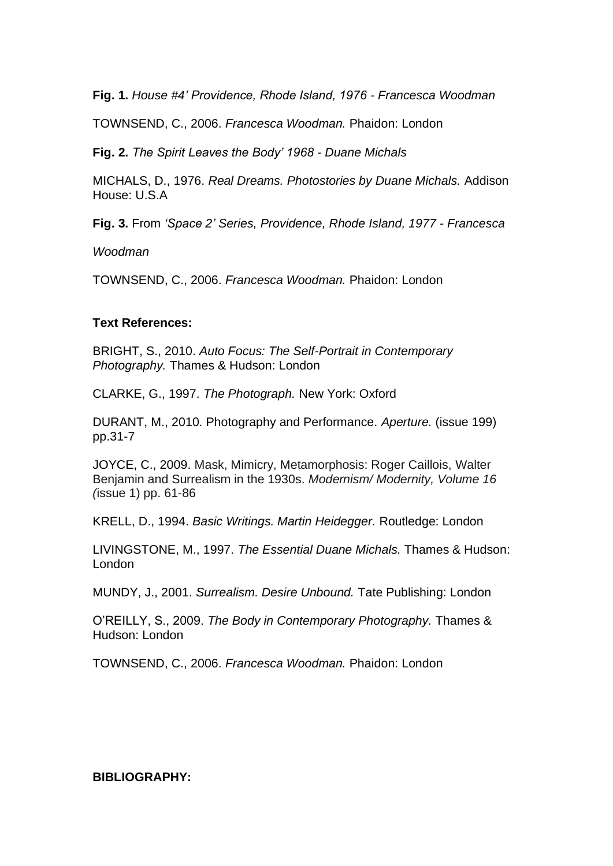**Fig. 1.** *House #4' Providence, Rhode Island, 1976 - Francesca Woodman*

TOWNSEND, C., 2006. *Francesca Woodman.* Phaidon: London

**Fig. 2.** *The Spirit Leaves the Body' 1968 - Duane Michals*

MICHALS, D., 1976. *Real Dreams. Photostories by Duane Michals.* Addison House: U.S.A

**Fig. 3.** From *'Space 2' Series, Providence, Rhode Island, 1977 - Francesca* 

*Woodman*

TOWNSEND, C., 2006. *Francesca Woodman.* Phaidon: London

## **Text References:**

BRIGHT, S., 2010. *Auto Focus: The Self-Portrait in Contemporary Photography.* Thames & Hudson: London

CLARKE, G., 1997. *The Photograph.* New York: Oxford

DURANT, M., 2010. Photography and Performance. *Aperture.* (issue 199) pp.31-7

JOYCE, C., 2009. Mask, Mimicry, Metamorphosis: Roger Caillois, Walter Benjamin and Surrealism in the 1930s. *Modernism/ Modernity, Volume 16 (*issue 1) pp. 61-86

KRELL, D., 1994. *Basic Writings. Martin Heidegger.* Routledge: London

LIVINGSTONE, M., 1997. *The Essential Duane Michals.* Thames & Hudson: London

MUNDY, J., 2001. *Surrealism. Desire Unbound.* Tate Publishing: London

O'REILLY, S., 2009. *The Body in Contemporary Photography.* Thames & Hudson: London

TOWNSEND, C., 2006. *Francesca Woodman.* Phaidon: London

## **BIBLIOGRAPHY:**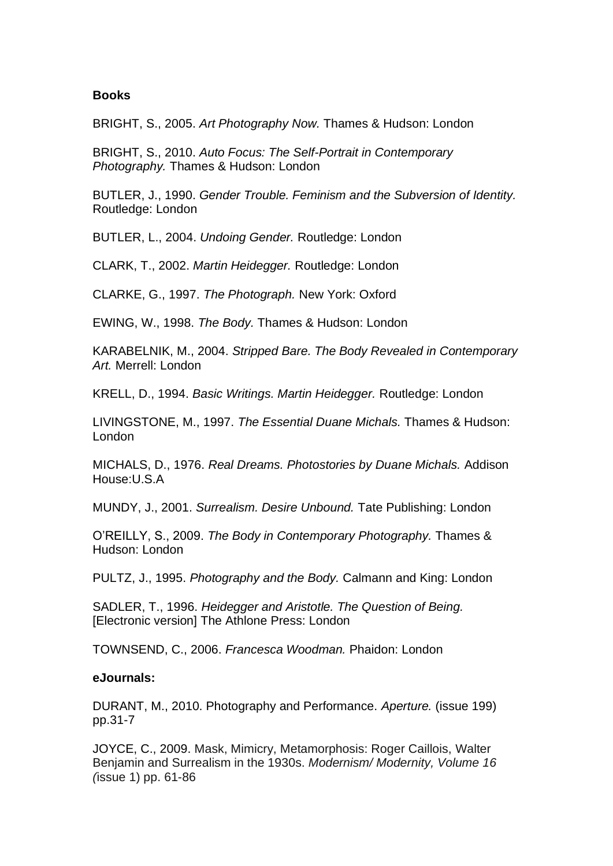#### **Books**

BRIGHT, S., 2005. *Art Photography Now.* Thames & Hudson: London

BRIGHT, S., 2010. *Auto Focus: The Self-Portrait in Contemporary Photography.* Thames & Hudson: London

BUTLER, J., 1990. *Gender Trouble. Feminism and the Subversion of Identity.* Routledge: London

BUTLER, L., 2004. *Undoing Gender.* Routledge: London

CLARK, T., 2002. *Martin Heidegger.* Routledge: London

CLARKE, G., 1997. *The Photograph.* New York: Oxford

EWING, W., 1998. *The Body.* Thames & Hudson: London

KARABELNIK, M., 2004. *Stripped Bare. The Body Revealed in Contemporary Art.* Merrell: London

KRELL, D., 1994. *Basic Writings. Martin Heidegger.* Routledge: London

LIVINGSTONE, M., 1997. *The Essential Duane Michals.* Thames & Hudson: London

MICHALS, D., 1976. *Real Dreams. Photostories by Duane Michals.* Addison House:U.S.A

MUNDY, J., 2001. *Surrealism. Desire Unbound.* Tate Publishing: London

O'REILLY, S., 2009. *The Body in Contemporary Photography.* Thames & Hudson: London

PULTZ, J., 1995. *Photography and the Body.* Calmann and King: London

SADLER, T., 1996. *Heidegger and Aristotle. The Question of Being.*  [Electronic version] The Athlone Press: London

TOWNSEND, C., 2006. *Francesca Woodman.* Phaidon: London

#### **eJournals:**

DURANT, M., 2010. Photography and Performance. *Aperture.* (issue 199) pp.31-7

JOYCE, C., 2009. Mask, Mimicry, Metamorphosis: Roger Caillois, Walter Benjamin and Surrealism in the 1930s. *Modernism/ Modernity, Volume 16 (*issue 1) pp. 61-86